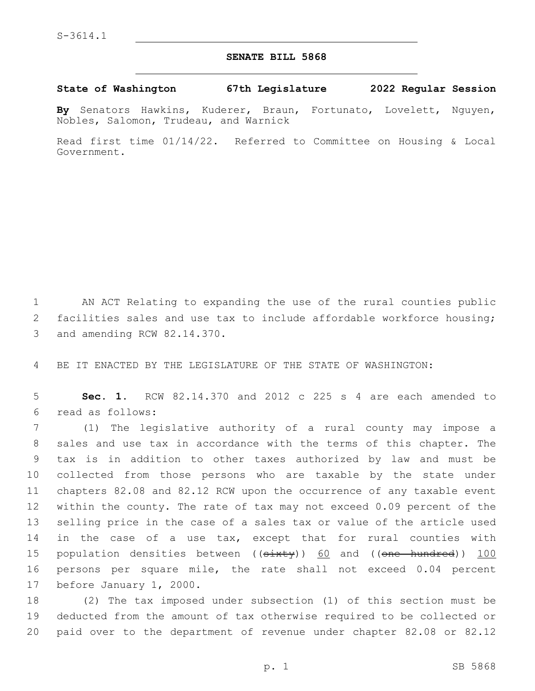## **SENATE BILL 5868**

## **State of Washington 67th Legislature 2022 Regular Session**

**By** Senators Hawkins, Kuderer, Braun, Fortunato, Lovelett, Nguyen, Nobles, Salomon, Trudeau, and Warnick

Read first time 01/14/22. Referred to Committee on Housing & Local Government.

1 AN ACT Relating to expanding the use of the rural counties public 2 facilities sales and use tax to include affordable workforce housing; 3 and amending RCW 82.14.370.

4 BE IT ENACTED BY THE LEGISLATURE OF THE STATE OF WASHINGTON:

5 **Sec. 1.** RCW 82.14.370 and 2012 c 225 s 4 are each amended to read as follows:6

 (1) The legislative authority of a rural county may impose a sales and use tax in accordance with the terms of this chapter. The tax is in addition to other taxes authorized by law and must be collected from those persons who are taxable by the state under chapters 82.08 and 82.12 RCW upon the occurrence of any taxable event within the county. The rate of tax may not exceed 0.09 percent of the selling price in the case of a sales tax or value of the article used in the case of a use tax, except that for rural counties with 15 population densities between ((sixty)) 60 and ((one hundred)) 100 persons per square mile, the rate shall not exceed 0.04 percent 17 before January 1, 2000.

18 (2) The tax imposed under subsection (1) of this section must be 19 deducted from the amount of tax otherwise required to be collected or 20 paid over to the department of revenue under chapter 82.08 or 82.12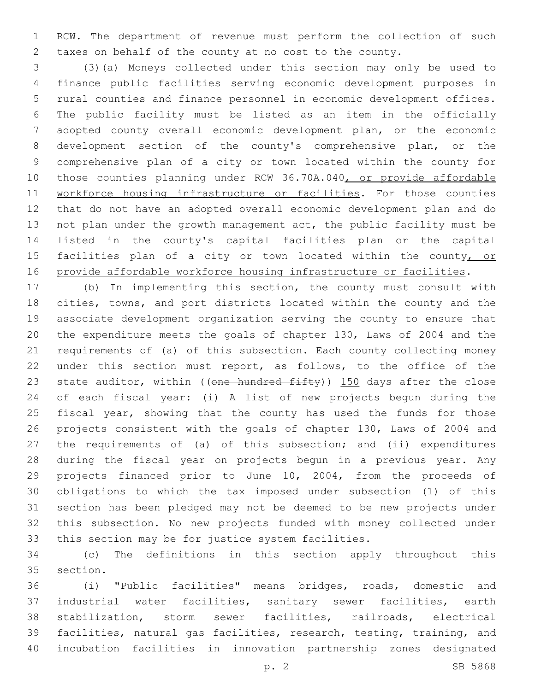RCW. The department of revenue must perform the collection of such taxes on behalf of the county at no cost to the county.

 (3)(a) Moneys collected under this section may only be used to finance public facilities serving economic development purposes in rural counties and finance personnel in economic development offices. The public facility must be listed as an item in the officially adopted county overall economic development plan, or the economic development section of the county's comprehensive plan, or the comprehensive plan of a city or town located within the county for 10 those counties planning under RCW 36.70A.040, or provide affordable 11 workforce housing infrastructure or facilities. For those counties that do not have an adopted overall economic development plan and do not plan under the growth management act, the public facility must be listed in the county's capital facilities plan or the capital 15 facilities plan of a city or town located within the county, or provide affordable workforce housing infrastructure or facilities.

 (b) In implementing this section, the county must consult with cities, towns, and port districts located within the county and the associate development organization serving the county to ensure that the expenditure meets the goals of chapter 130, Laws of 2004 and the requirements of (a) of this subsection. Each county collecting money under this section must report, as follows, to the office of the 23 state auditor, within ((one hundred fifty)) 150 days after the close of each fiscal year: (i) A list of new projects begun during the 25 fiscal year, showing that the county has used the funds for those projects consistent with the goals of chapter 130, Laws of 2004 and 27 the requirements of (a) of this subsection; and (ii) expenditures during the fiscal year on projects begun in a previous year. Any projects financed prior to June 10, 2004, from the proceeds of obligations to which the tax imposed under subsection (1) of this section has been pledged may not be deemed to be new projects under this subsection. No new projects funded with money collected under this section may be for justice system facilities.

 (c) The definitions in this section apply throughout this 35 section.

 (i) "Public facilities" means bridges, roads, domestic and industrial water facilities, sanitary sewer facilities, earth stabilization, storm sewer facilities, railroads, electrical facilities, natural gas facilities, research, testing, training, and incubation facilities in innovation partnership zones designated

p. 2 SB 5868